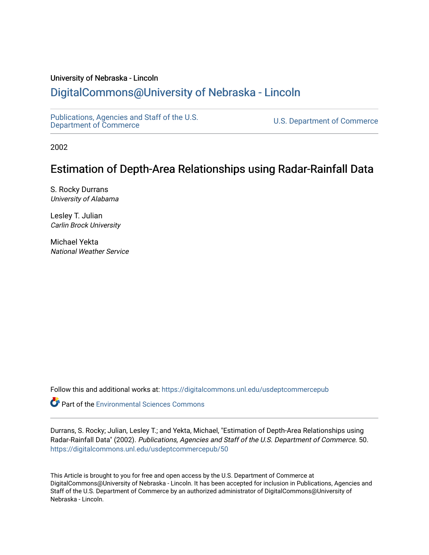# University of Nebraska - Lincoln

# [DigitalCommons@University of Nebraska - Lincoln](https://digitalcommons.unl.edu/)

[Publications, Agencies and Staff of the U.S.](https://digitalcommons.unl.edu/usdeptcommercepub)

U.S. [Department of Commerce](https://digitalcommons.unl.edu/usdeptcommercepub)

2002

# Estimation of Depth-Area Relationships using Radar-Rainfall Data

S. Rocky Durrans University of Alabama

Lesley T. Julian Carlin Brock University

Michael Yekta National Weather Service

Follow this and additional works at: [https://digitalcommons.unl.edu/usdeptcommercepub](https://digitalcommons.unl.edu/usdeptcommercepub?utm_source=digitalcommons.unl.edu%2Fusdeptcommercepub%2F50&utm_medium=PDF&utm_campaign=PDFCoverPages)

**C** Part of the [Environmental Sciences Commons](http://network.bepress.com/hgg/discipline/167?utm_source=digitalcommons.unl.edu%2Fusdeptcommercepub%2F50&utm_medium=PDF&utm_campaign=PDFCoverPages)

Durrans, S. Rocky; Julian, Lesley T.; and Yekta, Michael, "Estimation of Depth-Area Relationships using Radar-Rainfall Data" (2002). Publications, Agencies and Staff of the U.S. Department of Commerce. 50. [https://digitalcommons.unl.edu/usdeptcommercepub/50](https://digitalcommons.unl.edu/usdeptcommercepub/50?utm_source=digitalcommons.unl.edu%2Fusdeptcommercepub%2F50&utm_medium=PDF&utm_campaign=PDFCoverPages) 

This Article is brought to you for free and open access by the U.S. Department of Commerce at DigitalCommons@University of Nebraska - Lincoln. It has been accepted for inclusion in Publications, Agencies and Staff of the U.S. Department of Commerce by an authorized administrator of DigitalCommons@University of Nebraska - Lincoln.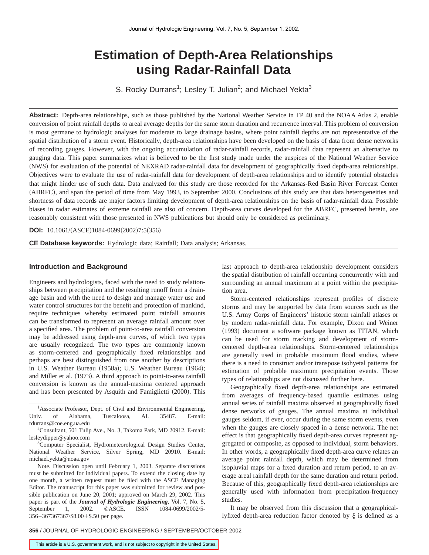# **Estimation of Depth-Area Relationships using Radar-Rainfall Data**

S. Rocky Durrans<sup>1</sup>; Lesley T. Julian<sup>2</sup>; and Michael Yekta<sup>3</sup>

**Abstract:** Depth-area relationships, such as those published by the National Weather Service in TP 40 and the NOAA Atlas 2, enable conversion of point rainfall depths to areal average depths for the same storm duration and recurrence interval. This problem of conversion is most germane to hydrologic analyses for moderate to large drainage basins, where point rainfall depths are not representative of the spatial distribution of a storm event. Historically, depth-area relationships have been developed on the basis of data from dense networks of recording gauges. However, with the ongoing accumulation of radar-rainfall records, radar-rainfall data represent an alternative to gauging data. This paper summarizes what is believed to be the first study made under the auspices of the National Weather Service ~NWS! for evaluation of the potential of NEXRAD radar-rainfall data for development of geographically fixed depth-area relationships. Objectives were to evaluate the use of radar-rainfall data for development of depth-area relationships and to identify potential obstacles that might hinder use of such data. Data analyzed for this study are those recorded for the Arkansas-Red Basin River Forecast Center (ABRFC), and span the period of time from May 1993, to September 2000. Conclusions of this study are that data heterogeneities and shortness of data records are major factors limiting development of depth-area relationships on the basis of radar-rainfall data. Possible biases in radar estimates of extreme rainfall are also of concern. Depth-area curves developed for the ABRFC, presented herein, are reasonably consistent with those presented in NWS publications but should only be considered as preliminary.

**DOI:** 10.1061/(ASCE)1084-0699(2002)7:5(356)

**CE Database keywords:** Hydrologic data; Rainfall; Data analysis; Arkansas.

#### **Introduction and Background**

Engineers and hydrologists, faced with the need to study relationships between precipitation and the resulting runoff from a drainage basin and with the need to design and manage water use and water control structures for the benefit and protection of mankind, require techniques whereby estimated point rainfall amounts can be transformed to represent an average rainfall amount over a specified area. The problem of point-to-area rainfall conversion may be addressed using depth-area curves, of which two types are usually recognized. The two types are commonly known as storm-centered and geographically fixed relationships and perhaps are best distinguished from one another by descriptions in U.S. Weather Bureau (1958a); U.S. Weather Bureau (1964); and Miller et al. (1973). A third approach to point-to-area rainfall conversion is known as the annual-maxima centered approach and has been presented by Asquith and Famiglietti (2000). This

<sup>1</sup> Associate Professor, Dept. of Civil and Environmental Engineering, Univ. of Alabama, Tuscaloosa, AL 35487. E-mail: rdurrans@coe.eng.ua.edu

2 Consultant, 501 Tulip Ave., No. 3, Takoma Park, MD 20912. E-mail: lesleydipper@yahoo.com

<sup>3</sup>Computer Specialist, Hydrometeorological Design Studies Center, National Weather Service, Silver Spring, MD 20910. E-mail: michael.yekta@noaa.gov

Note. Discussion open until February 1, 2003. Separate discussions must be submitted for individual papers. To extend the closing date by one month, a written request must be filed with the ASCE Managing Editor. The manuscript for this paper was submitted for review and possible publication on June 20, 2001; approved on March 29, 2002. This paper is part of the *Journal of Hydrologic Engineering*, Vol. 7, No. 5, September 1, 2002. ©ASCE, ISSN 1084-0699/2002/5- 356-367367367/\$8.00+\$.50 per page.

last approach to depth-area relationship development considers the spatial distribution of rainfall occurring concurrently with and surrounding an annual maximum at a point within the precipitation area.

Storm-centered relationships represent profiles of discrete storms and may be supported by data from sources such as the U.S. Army Corps of Engineers' historic storm rainfall atlases or by modern radar-rainfall data. For example, Dixon and Weiner ~1993! document a software package known as TITAN, which can be used for storm tracking and development of stormcentered depth-area relationships. Storm-centered relationships are generally used in probable maximum flood studies, where there is a need to construct and/or transpose isohyetal patterns for estimation of probable maximum precipitation events. Those types of relationships are not discussed further here.

Geographically fixed depth-area relationships are estimated from averages of frequency-based quantile estimates using annual series of rainfall maxima observed at geographically fixed dense networks of gauges. The annual maxima at individual gauges seldom, if ever, occur during the same storm events, even when the gauges are closely spaced in a dense network. The net effect is that geographically fixed depth-area curves represent aggregated or composite, as opposed to individual, storm behaviors. In other words, a geographically fixed depth-area curve relates an average point rainfall depth, which may be determined from isopluvial maps for a fixed duration and return period, to an average areal rainfall depth for the same duration and return period. Because of this, geographically fixed depth-area relationships are generally used with information from precipitation-frequency studies.

It may be observed from this discussion that a geographicallyfixed depth-area reduction factor denoted by  $\xi$  is defined as a

**356** / JOURNAL OF HYDROLOGIC ENGINEERING / SEPTEMBER/OCTOBER 2002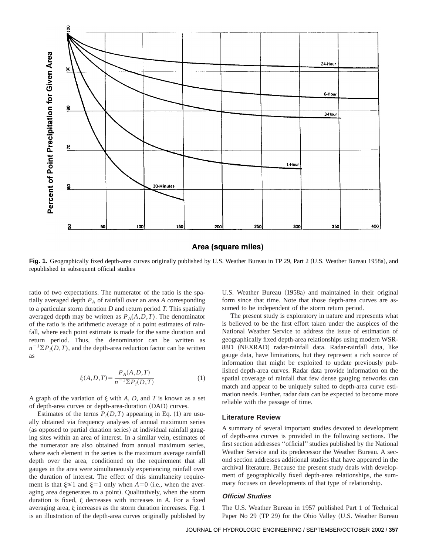

# Area (square miles)

Fig. 1. Geographically fixed depth-area curves originally published by U.S. Weather Bureau in TP 29, Part 2 (U.S. Weather Bureau 1958a), and republished in subsequent official studies

ratio of two expectations. The numerator of the ratio is the spatially averaged depth  $P_A$  of rainfall over an area  $A$  corresponding to a particular storm duration *D* and return period *T*. This spatially averaged depth may be written as  $P_A(A, D, T)$ . The denominator of the ratio is the arithmetic average of *n* point estimates of rainfall, where each point estimate is made for the same duration and return period. Thus, the denominator can be written as  $n^{-1} \Sigma P_i(D,T)$ , and the depth-area reduction factor can be written as

$$
\xi(A, D, T) = \frac{P_A(A, D, T)}{n^{-1} \Sigma P_i(D, T)}
$$
(1)

A graph of the variation of  $\xi$  with *A*, *D*, and *T* is known as a set of depth-area curves or depth-area-duration  $(DAD)$  curves.

Estimates of the terms  $P_i(D,T)$  appearing in Eq. (1) are usually obtained via frequency analyses of annual maximum series (as opposed to partial duration series) at individual rainfall gauging sites within an area of interest. In a similar vein, estimates of the numerator are also obtained from annual maximum series, where each element in the series is the maximum average rainfall depth over the area, conditioned on the requirement that all gauges in the area were simultaneously experiencing rainfall over the duration of interest. The effect of this simultaneity requirement is that  $\xi \le 1$  and  $\xi = 1$  only when  $A = 0$  (i.e., when the averaging area degenerates to a point). Qualitatively, when the storm duration is fixed,  $\xi$  decreases with increases in  $A$ . For a fixed averaging area,  $\xi$  increases as the storm duration increases. Fig. 1 is an illustration of the depth-area curves originally published by U.S. Weather Bureau (1958a) and maintained in their original form since that time. Note that those depth-area curves are assumed to be independent of the storm return period.

The present study is exploratory in nature and represents what is believed to be the first effort taken under the auspices of the National Weather Service to address the issue of estimation of geographically fixed depth-area relationships using modern WSR-88D (NEXRAD) radar-rainfall data. Radar-rainfall data, like gauge data, have limitations, but they represent a rich source of information that might be exploited to update previously published depth-area curves. Radar data provide information on the spatial coverage of rainfall that few dense gauging networks can match and appear to be uniquely suited to depth-area curve estimation needs. Further, radar data can be expected to become more reliable with the passage of time.

### **Literature Review**

A summary of several important studies devoted to development of depth-area curves is provided in the following sections. The first section addresses ''official'' studies published by the National Weather Service and its predecessor the Weather Bureau. A second section addresses additional studies that have appeared in the archival literature. Because the present study deals with development of geographically fixed depth-area relationships, the summary focuses on developments of that type of relationship.

# **Official Studies**

The U.S. Weather Bureau in 1957 published Part 1 of Technical Paper No 29 (TP 29) for the Ohio Valley (U.S. Weather Bureau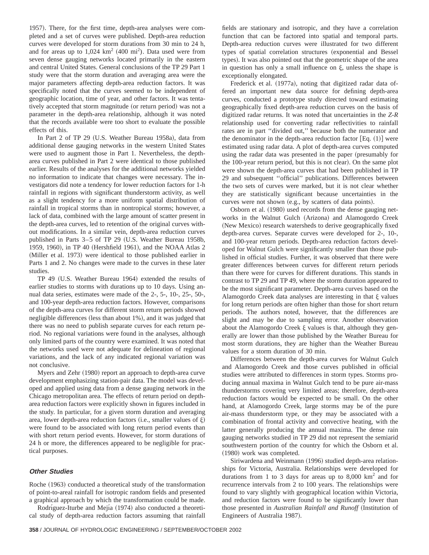1957). There, for the first time, depth-area analyses were completed and a set of curves were published. Depth-area reduction curves were developed for storm durations from 30 min to 24 h, and for areas up to  $1,024 \text{ km}^2$  (400 mi<sup>2</sup>). Data used were from seven dense gauging networks located primarily in the eastern and central United States. General conclusions of the TP 29 Part 1 study were that the storm duration and averaging area were the major parameters affecting depth-area reduction factors. It was specifically noted that the curves seemed to be independent of geographic location, time of year, and other factors. It was tentatively accepted that storm magnitude (or return period) was not a parameter in the depth-area relationship, although it was noted that the records available were too short to evaluate the possible effects of this.

In Part 2 of TP 29 (U.S. Weather Bureau 1958a), data from additional dense gauging networks in the western United States were used to augment those in Part 1. Nevertheless, the deptharea curves published in Part 2 were identical to those published earlier. Results of the analyses for the additional networks yielded no information to indicate that changes were necessary. The investigators did note a tendency for lower reduction factors for 1-h rainfall in regions with significant thunderstorm activity, as well as a slight tendency for a more uniform spatial distribution of rainfall in tropical storms than in nontropical storms; however, a lack of data, combined with the large amount of scatter present in the depth-area curves, led to retention of the original curves without modifications. In a similar vein, depth-area reduction curves published in Parts 3-5 of TP 29 (U.S. Weather Bureau 1958b, 1959, 1960), in TP 40 (Hershfield 1961), and the NOAA Atlas  $2$ (Miller et al. 1973) were identical to those published earlier in Parts 1 and 2. No changes were made to the curves in these later studies.

TP 49 (U.S. Weather Bureau 1964) extended the results of earlier studies to storms with durations up to 10 days. Using annual data series, estimates were made of the 2-, 5-, 10-, 25-, 50-, and 100-year depth-area reduction factors. However, comparisons of the depth-area curves for different storm return periods showed negligible differences (less than about  $1\%$ ), and it was judged that there was no need to publish separate curves for each return period. No regional variations were found in the analyses, although only limited parts of the country were examined. It was noted that the networks used were not adequate for delineation of regional variations, and the lack of any indicated regional variation was not conclusive.

Myers and Zehr (1980) report an approach to depth-area curve development emphasizing station-pair data. The model was developed and applied using data from a dense gauging network in the Chicago metropolitan area. The effects of return period on deptharea reduction factors were explicitly shown in figures included in the study. In particular, for a given storm duration and averaging area, lower depth-area reduction factors (i.e., smaller values of  $\xi$ ) were found to be associated with long return period events than with short return period events. However, for storm durations of 24 h or more, the differences appeared to be negligible for practical purposes.

#### **Other Studies**

Roche (1963) conducted a theoretical study of the transformation of point-to-areal rainfall for isotropic random fields and presented a graphical approach by which the transformation could be made.

Rodríguez-Iturbe and Mejía (1974) also conducted a theoretical study of depth-area reduction factors assuming that rainfall fields are stationary and isotropic, and they have a correlation function that can be factored into spatial and temporal parts. Depth-area reduction curves were illustrated for two different types of spatial correlation structures (exponential and Bessel types). It was also pointed out that the geometric shape of the area in question has only a small influence on  $\xi$ , unless the shape is exceptionally elongated.

Frederick et al. (1977a), noting that digitized radar data offered an important new data source for defining depth-area curves, conducted a prototype study directed toward estimating geographically fixed depth-area reduction curves on the basis of digitized radar returns. It was noted that uncertainties in the *Z-R* relationship used for converting radar reflectivities to rainfall rates are in part ''divided out,'' because both the numerator and the denominator in the depth-area reduction factor  $[Eq. (1)]$  were estimated using radar data. A plot of depth-area curves computed using the radar data was presented in the paper (presumably for the 100-year return period, but this is not clear). On the same plot were shown the depth-area curves that had been published in TP 29 and subsequent ''official'' publications. Differences between the two sets of curves were marked, but it is not clear whether they are statistically significant because uncertainties in the curves were not shown (e.g., by scatters of data points).

Osborn et al. (1980) used records from the dense gauging networks in the Walnut Gulch (Arizona) and Alamogordo Creek (New Mexico) research watersheds to derive geographically fixed depth-area curves. Separate curves were developed for 2-, 10-, and 100-year return periods. Depth-area reduction factors developed for Walnut Gulch were significantly smaller than those published in official studies. Further, it was observed that there were greater differences between curves for different return periods than there were for curves for different durations. This stands in contrast to TP 29 and TP 49, where the storm duration appeared to be the most significant parameter. Depth-area curves based on the Alamogordo Creek data analyses are interesting in that  $\xi$  values for long return periods are often higher than those for short return periods. The authors noted, however, that the differences are slight and may be due to sampling error. Another observation about the Alamogordo Creek  $\xi$  values is that, although they generally are lower than those published by the Weather Bureau for most storm durations, they are higher than the Weather Bureau values for a storm duration of 30 min.

Differences between the depth-area curves for Walnut Gulch and Alamogordo Creek and those curves published in official studies were attributed to differences in storm types. Storms producing annual maxima in Walnut Gulch tend to be pure air-mass thunderstorms covering very limited areas; therefore, depth-area reduction factors would be expected to be small. On the other hand, at Alamogordo Creek, large storms may be of the pure air-mass thunderstorm type, or they may be associated with a combination of frontal activity and convective heating, with the latter generally producing the annual maxima. The dense rain gauging networks studied in TP 29 did not represent the semiarid southwestern portion of the country for which the Osborn et al. ~1980! work was completed.

Siriwardena and Weinmann (1996) studied depth-area relationships for Victoria, Australia. Relationships were developed for durations from 1 to 3 days for areas up to  $8,000 \text{ km}^2$  and for recurrence intervals from 2 to 100 years. The relationships were found to vary slightly with geographical location within Victoria, and reduction factors were found to be significantly lower than those presented in *Australian Rainfall and Runoff* (Institution of Engineers of Australia 1987).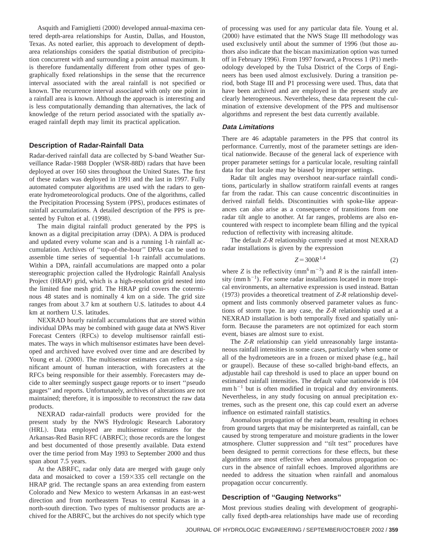Asquith and Famiglietti (2000) developed annual-maxima centered depth-area relationships for Austin, Dallas, and Houston, Texas. As noted earlier, this approach to development of deptharea relationships considers the spatial distribution of precipitation concurrent with and surrounding a point annual maximum. It is therefore fundamentally different from other types of geographically fixed relationships in the sense that the recurrence interval associated with the areal rainfall is not specified or known. The recurrence interval associated with only one point in a rainfall area is known. Although the approach is interesting and is less computationally demanding than alternatives, the lack of knowledge of the return period associated with the spatially averaged rainfall depth may limit its practical application.

#### **Description of Radar-Rainfall Data**

Radar-derived rainfall data are collected by S-band Weather Surveillance Radar-1988 Doppler (WSR-88D) radars that have been deployed at over 160 sites throughout the United States. The first of these radars was deployed in 1991 and the last in 1997. Fully automated computer algorithms are used with the radars to generate hydrometeorological products. One of the algorithms, called the Precipitation Processing System (PPS), produces estimates of rainfall accumulations. A detailed description of the PPS is presented by Fulton et al. (1998).

The main digital rainfall product generated by the PPS is known as a digital precipitation array (DPA). A DPA is produced and updated every volume scan and is a running 1-h rainfall accumulation. Archives of ''top-of-the-hour'' DPAs can be used to assemble time series of sequential 1-h rainfall accumulations. Within a DPA, rainfall accumulations are mapped onto a polar stereographic projection called the Hydrologic Rainfall Analysis Project (HRAP) grid, which is a high-resolution grid nested into the limited fine mesh grid. The HRAP grid covers the coterminous 48 states and is nominally 4 km on a side. The grid size ranges from about 3.7 km at southern U.S. latitudes to about 4.4 km at northern U.S. latitudes.

NEXRAD hourly rainfall accumulations that are stored within individual DPAs may be combined with gauge data at NWS River Forecast Centers (RFCs) to develop multisensor rainfall estimates. The ways in which multisensor estimates have been developed and archived have evolved over time and are described by Young et al. (2000). The multisensor estimates can reflect a significant amount of human interaction, with forecasters at the RFCs being responsible for their assembly. Forecasters may decide to alter seemingly suspect gauge reports or to insert ''pseudo gauges'' and reports. Unfortunately, archives of alterations are not maintained; therefore, it is impossible to reconstruct the raw data products.

NEXRAD radar-rainfall products were provided for the present study by the NWS Hydrologic Research Laboratory (HRL). Data employed are multisensor estimates for the Arkansas-Red Basin RFC (ABRFC); those records are the longest and best documented of those presently available. Data extend over the time period from May 1993 to September 2000 and thus span about 7.5 years.

At the ABRFC, radar only data are merged with gauge only data and mosaicked to cover a  $159\times335$  cell rectangle on the HRAP grid. The rectangle spans an area extending from eastern Colorado and New Mexico to western Arkansas in an east-west direction and from northeastern Texas to central Kansas in a north-south direction. Two types of multisensor products are archived for the ABRFC, but the archives do not specify which type of processing was used for any particular data file. Young et al. (2000) have estimated that the NWS Stage III methodology was used exclusively until about the summer of 1996 (but those authors also indicate that the biscan maximization option was turned off in February 1996). From 1997 forward, a Process 1 (P1) methodology developed by the Tulsa District of the Corps of Engineers has been used almost exclusively. During a transition period, both Stage III and P1 processing were used. Thus, data that have been archived and are employed in the present study are clearly heterogeneous. Nevertheless, these data represent the culmination of extensive development of the PPS and multisensor algorithms and represent the best data currently available.

#### **Data Limitations**

There are 46 adaptable parameters in the PPS that control its performance. Currently, most of the parameter settings are identical nationwide. Because of the general lack of experience with proper parameter settings for a particular locale, resulting rainfall data for that locale may be biased by improper settings.

Radar tilt angles may overshoot near-surface rainfall conditions, particularly in shallow stratiform rainfall events at ranges far from the radar. This can cause concentric discontinuities in derived rainfall fields. Discontinuities with spoke-like appearances can also arise as a consequence of transitions from one radar tilt angle to another. At far ranges, problems are also encountered with respect to incomplete beam filling and the typical reduction of reflectivity with increasing altitude.

The default *Z-R* relationship currently used at most NEXRAD radar installations is given by the expression

$$
Z = 300R^{1.4} \tag{2}
$$

where *Z* is the reflectivity ( $mm<sup>6</sup> m<sup>-3</sup>$ ) and *R* is the rainfall intensity  $(mm h^{-1})$ . For some radar installations located in more tropical environments, an alternative expression is used instead. Battan  $(1973)$  provides a theoretical treatment of  $Z-R$  relationship development and lists commonly observed parameter values as functions of storm type. In any case, the *Z-R* relationship used at a NEXRAD installation is both temporally fixed and spatially uniform. Because the parameters are not optimized for each storm event, biases are almost sure to exist.

The *Z-R* relationship can yield unreasonably large instantaneous rainfall intensities in some cases, particularly when some or all of the hydrometeors are in a frozen or mixed phase (e.g., hail or graupel). Because of these so-called bright-band effects, an adjustable hail cap threshold is used to place an upper bound on estimated rainfall intensities. The default value nationwide is 104  $mm h^{-1}$  but is often modified in tropical and dry environments. Nevertheless, in any study focusing on annual precipitation extremes, such as the present one, this cap could exert an adverse influence on estimated rainfall statistics.

Anomalous propagation of the radar beam, resulting in echoes from ground targets that may be misinterpreted as rainfall, can be caused by strong temperature and moisture gradients in the lower atmosphere. Clutter suppression and ''tilt test'' procedures have been designed to permit corrections for these effects, but these algorithms are most effective when anomalous propagation occurs in the absence of rainfall echoes. Improved algorithms are needed to address the situation when rainfall and anomalous propagation occur concurrently.

# **Description of ''Gauging Networks''**

Most previous studies dealing with development of geographically fixed depth-area relationships have made use of recording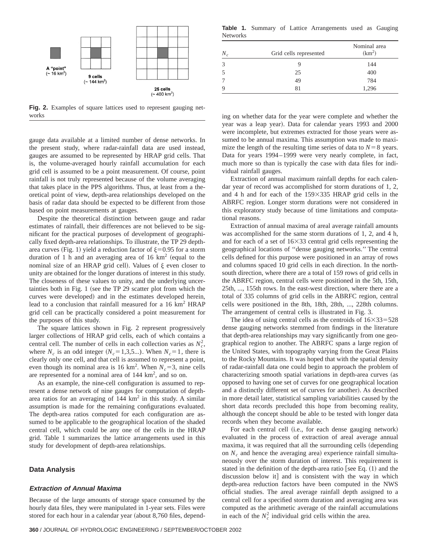

**Fig. 2.** Examples of square lattices used to represent gauging networks

gauge data available at a limited number of dense networks. In the present study, where radar-rainfall data are used instead, gauges are assumed to be represented by HRAP grid cells. That is, the volume-averaged hourly rainfall accumulation for each grid cell is assumed to be a point measurement. Of course, point rainfall is not truly represented because of the volume averaging that takes place in the PPS algorithms. Thus, at least from a theoretical point of view, depth-area relationships developed on the basis of radar data should be expected to be different from those based on point measurements at gauges.

Despite the theoretical distinction between gauge and radar estimates of rainfall, their differences are not believed to be significant for the practical purposes of development of geographically fixed depth-area relationships. To illustrate, the TP 29 deptharea curves (Fig. 1) yield a reduction factor of  $\xi=0.95$  for a storm duration of 1 h and an averaging area of 16  $km<sup>2</sup>$  (equal to the nominal size of an HRAP grid cell). Values of  $\xi$  even closer to unity are obtained for the longer durations of interest in this study. The closeness of these values to unity, and the underlying uncertainties both in Fig. 1 (see the TP 29 scatter plot from which the curves were developed) and in the estimates developed herein, lead to a conclusion that rainfall measured for a  $16 \text{ km}^2$  HRAP grid cell can be practically considered a point measurement for the purposes of this study.

The square lattices shown in Fig. 2 represent progressively larger collections of HRAP grid cells, each of which contains a central cell. The number of cells in each collection varies as  $N_c^2$ , where  $N_c$  is an odd integer  $(N_c=1,3,5...)$ . When  $N_c=1$ , there is clearly only one cell, and that cell is assumed to represent a point, even though its nominal area is 16 km<sup>2</sup>. When  $N_c = 3$ , nine cells are represented for a nominal area of  $144 \text{ km}^2$ , and so on.

As an example, the nine-cell configuration is assumed to represent a dense network of nine gauges for computation of deptharea ratios for an averaging of  $144 \text{ km}^2$  in this study. A similar assumption is made for the remaining configurations evaluated. The depth-area ratios computed for each configuration are assumed to be applicable to the geographical location of the shaded central cell, which could be any one of the cells in the HRAP grid. Table 1 summarizes the lattice arrangements used in this study for development of depth-area relationships.

#### **Data Analysis**

#### **Extraction of Annual Maxima**

Because of the large amounts of storage space consumed by the hourly data files, they were manipulated in 1-year sets. Files were stored for each hour in a calendar year (about 8,760 files, depend-

**Table 1.** Summary of Lattice Arrangements used as Gauging **Networks** 

| $N_c$ | Grid cells represented | Nominal area<br>(km <sup>2</sup> ) |
|-------|------------------------|------------------------------------|
| 3     |                        | 144                                |
| 5     | 25                     | 400                                |
| 7     | 49                     | 784                                |
| 9     | 81                     | 1,296                              |

ing on whether data for the year were complete and whether the year was a leap year). Data for calendar years 1993 and 2000 were incomplete, but extremes extracted for those years were assumed to be annual maxima. This assumption was made to maximize the length of the resulting time series of data to  $N=8$  years. Data for years 1994 –1999 were very nearly complete, in fact, much more so than is typically the case with data files for individual rainfall gauges.

Extraction of annual maximum rainfall depths for each calendar year of record was accomplished for storm durations of 1, 2, and 4 h and for each of the  $159\times335$  HRAP grid cells in the ABRFC region. Longer storm durations were not considered in this exploratory study because of time limitations and computational reasons.

Extraction of annual maxima of areal average rainfall amounts was accomplished for the same storm durations of 1, 2, and 4 h, and for each of a set of  $16\times33$  central grid cells representing the geographical locations of ''dense gauging networks.'' The central cells defined for this purpose were positioned in an array of rows and columns spaced 10 grid cells in each direction. In the northsouth direction, where there are a total of 159 rows of grid cells in the ABRFC region, central cells were positioned in the 5th, 15th, 25th, ..., 155th rows. In the east-west direction, where there are a total of 335 columns of grid cells in the ABRFC region, central cells were positioned in the 8th, 18th, 28th, ..., 228th columns. The arrangement of central cells is illustrated in Fig. 3.

The idea of using central cells as the centroids of  $16\times33=528$ dense gauging networks stemmed from findings in the literature that depth-area relationships may vary significantly from one geographical region to another. The ABRFC spans a large region of the United States, with topography varying from the Great Plains to the Rocky Mountains. It was hoped that with the spatial density of radar-rainfall data one could begin to approach the problem of characterizing smooth spatial variations in depth-area curves (as opposed to having one set of curves for one geographical location and a distinctly different set of curves for another). As described in more detail later, statistical sampling variabilities caused by the short data records precluded this hope from becoming reality, although the concept should be able to be tested with longer data records when they become available.

For each central cell (i.e., for each dense gauging network) evaluated in the process of extraction of areal average annual maxima, it was required that all the surrounding cells (depending on  $N_c$  and hence the averaging area) experience rainfall simultaneously over the storm duration of interest. This requirement is stated in the definition of the depth-area ratio [see Eq.  $(1)$  and the discussion below it] and is consistent with the way in which depth-area reduction factors have been computed in the NWS official studies. The areal average rainfall depth assigned to a central cell for a specified storm duration and averaging area was computed as the arithmetic average of the rainfall accumulations in each of the  $N_c^2$  individual grid cells within the area.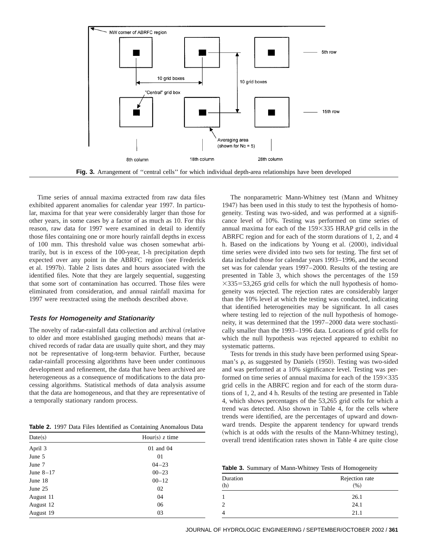

Time series of annual maxima extracted from raw data files exhibited apparent anomalies for calendar year 1997. In particular, maxima for that year were considerably larger than those for other years, in some cases by a factor of as much as 10. For this reason, raw data for 1997 were examined in detail to identify those files containing one or more hourly rainfall depths in excess of 100 mm. This threshold value was chosen somewhat arbitrarily, but is in excess of the 100-year, 1-h precipitation depth expected over any point in the ABRFC region (see Frederick et al. 1997b). Table 2 lists dates and hours associated with the identified files. Note that they are largely sequential, suggesting that some sort of contamination has occurred. Those files were eliminated from consideration, and annual rainfall maxima for 1997 were reextracted using the methods described above.

#### **Tests for Homogeneity and Stationarity**

The novelty of radar-rainfall data collection and archival (relative to older and more established gauging methods) means that archived records of radar data are usually quite short, and they may not be representative of long-term behavior. Further, because radar-rainfall processing algorithms have been under continuous development and refinement, the data that have been archived are heterogeneous as a consequence of modifications to the data processing algorithms. Statistical methods of data analysis assume that the data are homogeneous, and that they are representative of a temporally stationary random process.

**Table 2.** 1997 Data Files Identified as Containing Anomalous Data

| Date(s)     | Hour(s) $z$ time |  |
|-------------|------------------|--|
| April 3     | 01 and 04        |  |
| June 5      | 01               |  |
| June 7      | $04 - 23$        |  |
| June $8-17$ | $00 - 23$        |  |
| June 18     | $00 - 12$        |  |
| June $25$   | 02               |  |
| August 11   | 04               |  |
| August 12   | 06               |  |
| August 19   | 03               |  |

The nonparametric Mann-Whitney test (Mann and Whitney 1947) has been used in this study to test the hypothesis of homogeneity. Testing was two-sided, and was performed at a significance level of 10%. Testing was performed on time series of annual maxima for each of the  $159\times335$  HRAP grid cells in the ABRFC region and for each of the storm durations of 1, 2, and 4 h. Based on the indications by Young et al.  $(2000)$ , individual time series were divided into two sets for testing. The first set of data included those for calendar years 1993–1996, and the second set was for calendar years 1997–2000. Results of the testing are presented in Table 3, which shows the percentages of the 159  $\times$ 335=53,265 grid cells for which the null hypothesis of homogeneity was rejected. The rejection rates are considerably larger than the 10% level at which the testing was conducted, indicating that identified heterogeneities may be significant. In all cases where testing led to rejection of the null hypothesis of homogeneity, it was determined that the 1997–2000 data were stochastically smaller than the 1993–1996 data. Locations of grid cells for which the null hypothesis was rejected appeared to exhibit no systematic patterns.

Tests for trends in this study have been performed using Spearman's p, as suggested by Daniels (1950). Testing was two-sided and was performed at a 10% significance level. Testing was performed on time series of annual maxima for each of the  $159\times335$ grid cells in the ABRFC region and for each of the storm durations of 1, 2, and 4 h. Results of the testing are presented in Table 4, which shows percentages of the 53,265 grid cells for which a trend was detected. Also shown in Table 4, for the cells where trends were identified, are the percentages of upward and downward trends. Despite the apparent tendency for upward trends (which is at odds with the results of the Mann-Whitney testing), overall trend identification rates shown in Table 4 are quite close

|  | <b>Table 3.</b> Summary of Mann-Whitney Tests of Homogeneity |
|--|--------------------------------------------------------------|
|  |                                                              |

| Duration<br>(h) | Rejection rate<br>(%) |  |
|-----------------|-----------------------|--|
|                 | 26.1                  |  |
| $\overline{2}$  | 24.1                  |  |
| $\overline{4}$  | 21.1                  |  |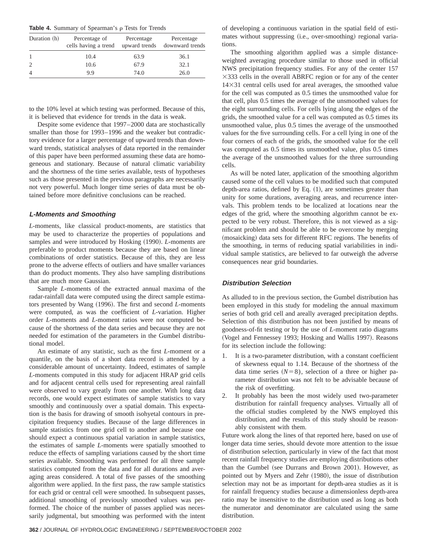**Table 4.** Summary of Spearman's  $\rho$  Tests for Trends

| Duration (h) | Percentage of<br>cells having a trend | Percentage<br>upward trends | Percentage<br>downward trends |
|--------------|---------------------------------------|-----------------------------|-------------------------------|
|              | 10.4                                  | 63.9                        | 36.1                          |
|              | 10.6                                  | 67.9                        | 32.1                          |
|              | 9.9                                   | 74.0                        | 26.0                          |

to the 10% level at which testing was performed. Because of this, it is believed that evidence for trends in the data is weak.

Despite some evidence that 1997–2000 data are stochastically smaller than those for 1993–1996 and the weaker but contradictory evidence for a larger percentage of upward trends than downward trends, statistical analyses of data reported in the remainder of this paper have been performed assuming these data are homogeneous and stationary. Because of natural climatic variability and the shortness of the time series available, tests of hypotheses such as those presented in the previous paragraphs are necessarily not very powerful. Much longer time series of data must be obtained before more definitive conclusions can be reached.

#### **L-Moments and Smoothing**

*L*-moments, like classical product-moments, are statistics that may be used to characterize the properties of populations and samples and were introduced by Hosking (1990). *L*-moments are preferable to product moments because they are based on linear combinations of order statistics. Because of this, they are less prone to the adverse effects of outliers and have smaller variances than do product moments. They also have sampling distributions that are much more Gaussian.

Sample *L*-moments of the extracted annual maxima of the radar-rainfall data were computed using the direct sample estimators presented by Wang (1996). The first and second *L*-moments were computed, as was the coefficient of *L*-variation. Higher order *L*-moments and *L*-moment ratios were not computed because of the shortness of the data series and because they are not needed for estimation of the parameters in the Gumbel distributional model.

An estimate of any statistic, such as the first *L*-moment or a quantile, on the basis of a short data record is attended by a considerable amount of uncertainty. Indeed, estimates of sample *L*-moments computed in this study for adjacent HRAP grid cells and for adjacent central cells used for representing areal rainfall were observed to vary greatly from one another. With long data records, one would expect estimates of sample statistics to vary smoothly and continuously over a spatial domain. This expectation is the basis for drawing of smooth isohyetal contours in precipitation frequency studies. Because of the large differences in sample statistics from one grid cell to another and because one should expect a continuous spatial variation in sample statistics, the estimates of sample *L*-moments were spatially smoothed to reduce the effects of sampling variations caused by the short time series available. Smoothing was performed for all three sample statistics computed from the data and for all durations and averaging areas considered. A total of five passes of the smoothing algorithm were applied. In the first pass, the raw sample statistics for each grid or central cell were smoothed. In subsequent passes, additional smoothing of previously smoothed values was performed. The choice of the number of passes applied was necessarily judgmental, but smoothing was performed with the intent of developing a continuous variation in the spatial field of estimates without suppressing (i.e., over-smoothing) regional variations.

The smoothing algorithm applied was a simple distanceweighted averaging procedure similar to those used in official NWS precipitation frequency studies. For any of the center 157  $\times$ 333 cells in the overall ABRFC region or for any of the center  $14\times31$  central cells used for areal averages, the smoothed value for the cell was computed as 0.5 times the unsmoothed value for that cell, plus 0.5 times the average of the unsmoothed values for the eight surrounding cells. For cells lying along the edges of the grids, the smoothed value for a cell was computed as 0.5 times its unsmoothed value, plus 0.5 times the average of the unsmoothed values for the five surrounding cells. For a cell lying in one of the four corners of each of the grids, the smoothed value for the cell was computed as 0.5 times its unsmoothed value, plus 0.5 times the average of the unsmoothed values for the three surrounding cells.

As will be noted later, application of the smoothing algorithm caused some of the cell values to be modified such that computed depth-area ratios, defined by Eq.  $(1)$ , are sometimes greater than unity for some durations, averaging areas, and recurrence intervals. This problem tends to be localized at locations near the edges of the grid, where the smoothing algorithm cannot be expected to be very robust. Therefore, this is not viewed as a significant problem and should be able to be overcome by merging (mosaicking) data sets for different RFC regions. The benefits of the smoothing, in terms of reducing spatial variabilities in individual sample statistics, are believed to far outweigh the adverse consequences near grid boundaries.

## **Distribution Selection**

As alluded to in the previous section, the Gumbel distribution has been employed in this study for modeling the annual maximum series of both grid cell and areally averaged precipitation depths. Selection of this distribution has not been justified by means of goodness-of-fit testing or by the use of *L*-moment ratio diagrams (Vogel and Fennessey 1993; Hosking and Wallis 1997). Reasons for its selection include the following:

- 1. It is a two-parameter distribution, with a constant coefficient of skewness equal to 1.14. Because of the shortness of the data time series  $(N=8)$ , selection of a three or higher parameter distribution was not felt to be advisable because of the risk of overfitting.
- It probably has been the most widely used two-parameter distribution for rainfall frequency analyses. Virtually all of the official studies completed by the NWS employed this distribution, and the results of this study should be reasonably consistent with them.

Future work along the lines of that reported here, based on use of longer data time series, should devote more attention to the issue of distribution selection, particularly in view of the fact that most recent rainfall frequency studies are employing distributions other than the Gumbel (see Durrans and Brown 2001). However, as pointed out by Myers and Zehr (1980), the issue of distribution selection may not be as important for depth-area studies as it is for rainfall frequency studies because a dimensionless depth-area ratio may be insensitive to the distribution used as long as both the numerator and denominator are calculated using the same distribution.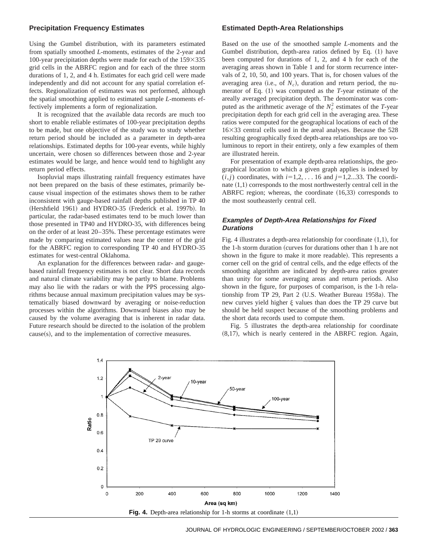#### **Precipitation Frequency Estimates**

Using the Gumbel distribution, with its parameters estimated from spatially smoothed *L*-moments, estimates of the 2-year and 100-year precipitation depths were made for each of the  $159\times335$ grid cells in the ABRFC region and for each of the three storm durations of 1, 2, and 4 h. Estimates for each grid cell were made independently and did not account for any spatial correlation effects. Regionalization of estimates was not performed, although the spatial smoothing applied to estimated sample *L*-moments effectively implements a form of regionalization.

It is recognized that the available data records are much too short to enable reliable estimates of 100-year precipitation depths to be made, but one objective of the study was to study whether return period should be included as a parameter in depth-area relationships. Estimated depths for 100-year events, while highly uncertain, were chosen so differences between those and 2-year estimates would be large, and hence would tend to highlight any return period effects.

Isopluvial maps illustrating rainfall frequency estimates have not been prepared on the basis of these estimates, primarily because visual inspection of the estimates shows them to be rather inconsistent with gauge-based rainfall depths published in TP 40 (Hershfield 1961) and HYDRO-35 (Frederick et al. 1997b). In particular, the radar-based estimates tend to be much lower than those presented in TP40 and HYDRO-35, with differences being on the order of at least 20–35%. These percentage estimates were made by comparing estimated values near the center of the grid for the ABRFC region to corresponding TP 40 and HYDRO-35 estimates for west-central Oklahoma.

An explanation for the differences between radar- and gaugebased rainfall frequency estimates is not clear. Short data records and natural climate variability may be partly to blame. Problems may also lie with the radars or with the PPS processing algorithms because annual maximum precipitation values may be systematically biased downward by averaging or noise-reduction processes within the algorithms. Downward biases also may be caused by the volume averaging that is inherent in radar data. Future research should be directed to the isolation of the problem  $cause(s)$ , and to the implementation of corrective measures.

#### **Estimated Depth-Area Relationships**

Based on the use of the smoothed sample *L*-moments and the Gumbel distribution, depth-area ratios defined by Eq.  $(1)$  have been computed for durations of 1, 2, and 4 h for each of the averaging areas shown in Table 1 and for storm recurrence intervals of 2, 10, 50, and 100 years. That is, for chosen values of the averaging area (i.e., of  $N_c$ ), duration and return period, the numerator of Eq.  $(1)$  was computed as the *T*-year estimate of the areally averaged precipitation depth. The denominator was computed as the arithmetic average of the  $N_c^2$  estimates of the *T*-year precipitation depth for each grid cell in the averaging area. These ratios were computed for the geographical locations of each of the 16333 central cells used in the areal analyses. Because the 528 resulting geographically fixed depth-area relationships are too voluminous to report in their entirety, only a few examples of them are illustrated herein.

For presentation of example depth-area relationships, the geographical location to which a given graph applies is indexed by  $(i, j)$  coordinates, with  $i=1,2, \ldots 16$  and  $j=1,2...33$ . The coordinate  $(1,1)$  corresponds to the most northwesterly central cell in the ABRFC region; whereas, the coordinate  $(16,33)$  corresponds to the most southeasterly central cell.

## **Examples of Depth-Area Relationships for Fixed Durations**

Fig. 4 illustrates a depth-area relationship for coordinate  $(1,1)$ , for the 1-h storm duration (curves for durations other than 1 h are not shown in the figure to make it more readable). This represents a corner cell on the grid of central cells, and the edge effects of the smoothing algorithm are indicated by depth-area ratios greater than unity for some averaging areas and return periods. Also shown in the figure, for purposes of comparison, is the 1-h relationship from TP 29, Part 2 (U.S. Weather Bureau 1958a). The new curves yield higher  $\xi$  values than does the TP 29 curve but should be held suspect because of the smoothing problems and the short data records used to compute them.

Fig. 5 illustrates the depth-area relationship for coordinate  $(8,17)$ , which is nearly centered in the ABRFC region. Again,



**Fig. 4.** Depth-area relationship for 1-h storms at coordinate  $(1,1)$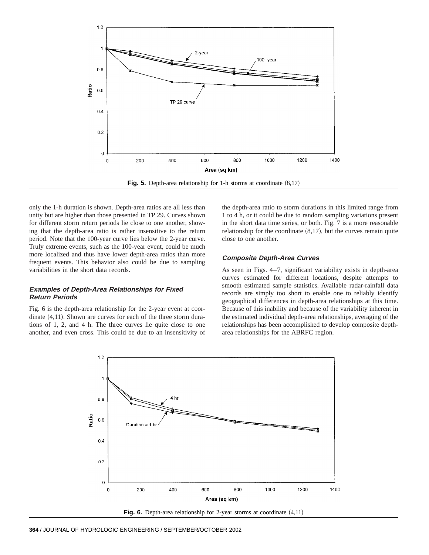

only the 1-h duration is shown. Depth-area ratios are all less than unity but are higher than those presented in TP 29. Curves shown for different storm return periods lie close to one another, showing that the depth-area ratio is rather insensitive to the return period. Note that the 100-year curve lies below the 2-year curve. Truly extreme events, such as the 100-year event, could be much more localized and thus have lower depth-area ratios than more frequent events. This behavior also could be due to sampling variabilities in the short data records.

# **Examples of Depth-Area Relationships for Fixed Return Periods**

Fig. 6 is the depth-area relationship for the 2-year event at coordinate  $(4,11)$ . Shown are curves for each of the three storm durations of 1, 2, and 4 h. The three curves lie quite close to one another, and even cross. This could be due to an insensitivity of the depth-area ratio to storm durations in this limited range from 1 to 4 h, or it could be due to random sampling variations present in the short data time series, or both. Fig. 7 is a more reasonable relationship for the coordinate  $(8,17)$ , but the curves remain quite close to one another.

#### **Composite Depth-Area Curves**

As seen in Figs. 4–7, significant variability exists in depth-area curves estimated for different locations, despite attempts to smooth estimated sample statistics. Available radar-rainfall data records are simply too short to enable one to reliably identify geographical differences in depth-area relationships at this time. Because of this inability and because of the variability inherent in the estimated individual depth-area relationships, averaging of the relationships has been accomplished to develop composite deptharea relationships for the ABRFC region.



**Fig. 6.** Depth-area relationship for 2-year storms at coordinate (4,11)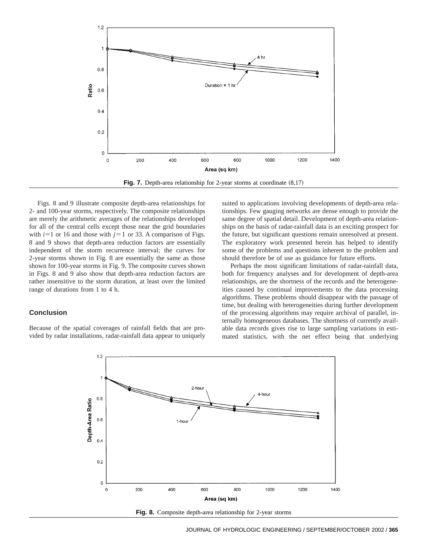

Figs. 8 and 9 illustrate composite depth-area relationships for 2- and 100-year storms, respectively. The composite relationships are merely the arithmetic averages of the relationships developed for all of the central cells except those near the grid boundaries with  $i=1$  or 16 and those with  $j=1$  or 33. A comparison of Figs. 8 and 9 shows that depth-area reduction factors are essentially independent of the storm recurrence interval; the curves for 2-year storms shown in Fig. 8 are essentially the same as those shown for 100-year storms in Fig. 9. The composite curves shown in Figs. 8 and 9 also show that depth-area reduction factors are rather insensitive to the storm duration, at least over the limited range of durations from 1 to 4 h.

# **Conclusion**

Because of the spatial coverages of rainfall fields that are provided by radar installations, radar-rainfall data appear to uniquely suited to applications involving developments of depth-area relationships. Few gauging networks are dense enough to provide the same degree of spatial detail. Development of depth-area relationships on the basis of radar-rainfall data is an exciting prospect for the future, but significant questions remain unresolved at present. The exploratory work presented herein has helped to identify some of the problems and questions inherent to the problem and should therefore be of use as guidance for future efforts.

Perhaps the most significant limitations of radar-rainfall data, both for frequency analyses and for development of depth-area relationships, are the shortness of the records and the heterogeneities caused by continual improvements to the data processing algorithms. These problems should disappear with the passage of time, but dealing with heterogeneities during further development of the processing algorithms may require archival of parallel, internally homogeneous databases. The shortness of currently available data records gives rise to large sampling variations in estimated statistics, with the net effect being that underlying



**Fig. 8.** Composite depth-area relationship for 2-year storms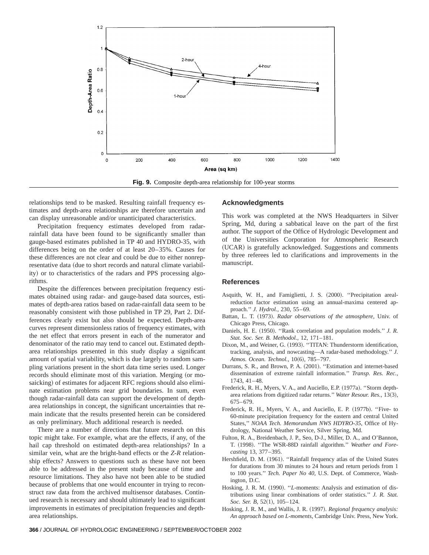

**Fig. 9.** Composite depth-area relationship for 100-year storms

relationships tend to be masked. Resulting rainfall frequency estimates and depth-area relationships are therefore uncertain and can display unreasonable and/or unanticipated characteristics.

Precipitation frequency estimates developed from radarrainfall data have been found to be significantly smaller than gauge-based estimates published in TP 40 and HYDRO-35, with differences being on the order of at least 20–35%. Causes for these differences are not clear and could be due to either nonrepresentative data (due to short records and natural climate variability) or to characteristics of the radars and PPS processing algorithms.

Despite the differences between precipitation frequency estimates obtained using radar- and gauge-based data sources, estimates of depth-area ratios based on radar-rainfall data seem to be reasonably consistent with those published in TP 29, Part 2. Differences clearly exist but also should be expected. Depth-area curves represent dimensionless ratios of frequency estimates, with the net effect that errors present in each of the numerator and denominator of the ratio may tend to cancel out. Estimated deptharea relationships presented in this study display a significant amount of spatial variability, which is due largely to random sampling variations present in the short data time series used. Longer records should eliminate most of this variation. Merging (or mosaicking) of estimates for adjacent RFC regions should also eliminate estimation problems near grid boundaries. In sum, even though radar-rainfall data can support the development of deptharea relationships in concept, the significant uncertainties that remain indicate that the results presented herein can be considered as only preliminary. Much additional research is needed.

There are a number of directions that future research on this topic might take. For example, what are the effects, if any, of the hail cap threshold on estimated depth-area relationships? In a similar vein, what are the bright-band effects or the *Z-R* relationship effects? Answers to questions such as these have not been able to be addressed in the present study because of time and resource limitations. They also have not been able to be studied because of problems that one would encounter in trying to reconstruct raw data from the archived multisensor databases. Continued research is necessary and should ultimately lead to significant improvements in estimates of precipitation frequencies and deptharea relationships.

#### **Acknowledgments**

This work was completed at the NWS Headquarters in Silver Spring, Md, during a sabbatical leave on the part of the first author. The support of the Office of Hydrologic Development and of the Universities Corporation for Atmospheric Research (UCAR) is gratefully acknowledged. Suggestions and comments by three referees led to clarifications and improvements in the manuscript.

#### **References**

- Asquith, W. H., and Famiglietti, J. S. (2000). "Precipitation arealreduction factor estimation using an annual-maxima centered approach.'' *J. Hydrol.,* 230, 55–69.
- Battan, L. T. (1973). *Radar observations of the atmosphere*, Univ. of Chicago Press, Chicago.
- Daniels, H. E. (1950). "Rank correlation and population models." *J. R. Stat. Soc. Ser. B. Methodol.,* 12, 171–181.
- Dixon, M., and Weiner, G. (1993). "TITAN: Thunderstorm identification, tracking, analysis, and nowcasting—A radar-based methodology.'' *J.* Atmos. Ocean. Technol., 10(6), 785-797.
- Durrans, S. R., and Brown, P. A. (2001). "Estimation and internet-based dissemination of extreme rainfall information.'' *Transp. Res. Rec.,* 1743, 41–48.
- Frederick, R. H., Myers, V. A., and Auciello, E.P. (1977a). "Storm deptharea relations from digitized radar returns." *Water Resour. Res.*, 13(3), 675–679.
- Frederick, R. H., Myers, V. A., and Auciello, E. P. (1977b). "Five- to 60-minute precipitation frequency for the eastern and central United States,'' *NOAA Tech. Memorandum NWS HDYRO-35*, Office of Hydrology, National Weather Service, Silver Spring, Md.
- Fulton, R. A., Breidenbach, J. P., Seo, D-J., Miller, D. A., and O'Bannon, T. (1998). "The WSR-88D rainfall algorithm." *Weather and Forecasting* 13, 377–395.
- Hershfield, D. M. (1961). "Rainfall frequency atlas of the United States for durations from 30 minutes to 24 hours and return periods from 1 to 100 years.'' *Tech. Paper No 40,* U.S. Dept. of Commerce, Washington, D.C.
- Hosking, J. R. M. (1990). "*L*-moments: Analysis and estimation of distributions using linear combinations of order statistics.'' *J. R. Stat. Soc. Ser. B,* 52(1), 105–124.
- Hosking, J. R. M., and Wallis, J. R. (1997). *Regional frequency analysis: An approach based on L-moments*, Cambridge Univ. Press, New York.